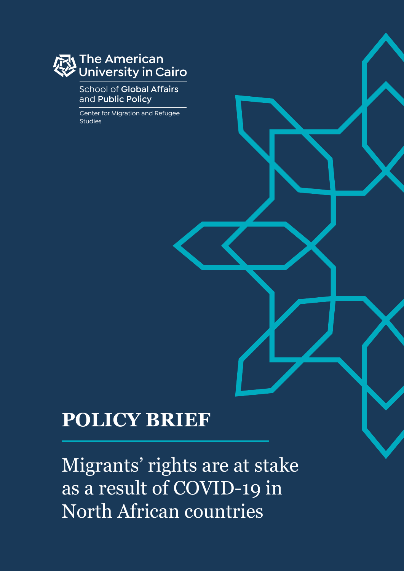# The American<br>University in Cairo

#### School of **Global Affairs**  and **Public Policy**

Center for Migration and Refugee Studies

## **POLICY BRIEF**

Migrants' rights are at stake as a result of COVID-19 in North African countries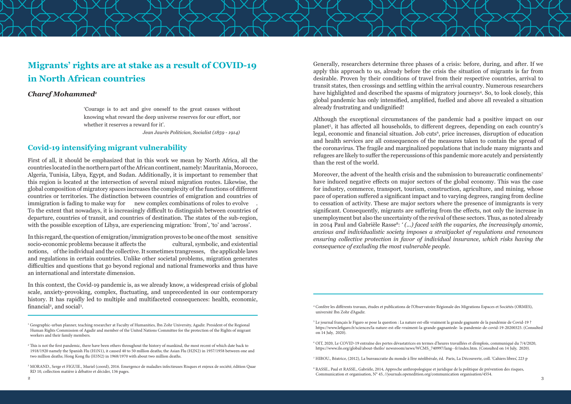#### **Covid-19 intensifying migrant vulnerability**

First of all, it should be emphasized that in this work we mean by North Africa, all the countries located in the northern part of the African continent, namely: Mauritania, Morocco, Algeria, Tunisia, Libya, Egypt, and Sudan. Additionally, it is important to remember that this region is located at the intersection of several mixed migration routes. Likewise, the global composition of migratory spaces increases the complexity of the functions of different countries or territories. The distinction between countries of emigration and countries of immigration is fading to make way for new complex combinations of roles to evolve To the extent that nowadays, it is increasingly difficult to distinguish between countries of departure, countries of transit, and countries of destination. The states of the sub-region, with the possible exception of Libya, are experiencing migration: 'from', 'to' and 'across'.

In this context, the Covid-19 pandemic is, as we already know, a widespread crisis of global scale, anxiety-provoking, complex, fluctuating, and unprecedented in our contemporary history. It has rapidly led to multiple and multifaceted consequences: health, economic, financial<sup>2</sup>, and social<sup>3</sup>.

In this regard, the question of emigration/immigration proves to be one of the most sensitive socio-economic problems because it affects the cultural, symbolic, and existential notions, of the individual and the collective. It sometimes trangresses, the applicable laws and regulations in certain countries. Unlike other societal problems, migration generates difficulties and questions that go beyond regional and national frameworks and thus have an international and interstate dimension.

Moreover, the advent of the health crisis and the submission to bureaucratic confinements<sup>7</sup> have induced negative effects on major sectors of the global economy. This was the case for industry, commerce, transport, tourism, construction, agriculture, and mining, whose pace of operation suffered a significant impact and to varying degrees, ranging from decline to cessation of activity. These are major sectors where the presence of immigrants is very significant. Consequently, migrants are suffering from the effects, not only the increase in unemployment but also the uncertainty of the revival of these sectors. Thus, as noted already in 2014 Paul and Gabrièle Rasse<sup>8</sup>: '(...) faced with the vagaries, the increasingly anomic, *anxious and individualistic society imposes a straitjacket of regulations and renounces ensuring collective protection in favor of individual insurance, which risks having the consequence of excluding the most vulnerable people.*

Generally, researchers determine three phases of a crisis: before, during, and after. If we apply this approach to us, already before the crisis the situation of migrants is far from desirable. Proven by their conditions of travel from their respective countries, arrival to transit states, then crossings and settling within the arrival country. Numerous researchers have highlighted and described the spasms of migratory journeys<sup>4</sup>. So, to look closely, this global pandemic has only intensified, amplified, fuelled and above all revealed a situation already frustrating and undignified!

Although the exceptional circumstances of the pandemic had a positive impact on our planet<sup>5</sup>, it has affected all households, to different degrees, depending on each country's legal, economic and financial situation. Job cuts<sup>6</sup>, price increases, disruption of education and health services are all consequences of the measures taken to contain the spread of the coronavirus. The fragile and marginalized populations that include many migrants and refugees are likely to suffer the repercussions of this pandemic more acutely and persistently than the rest of the world.



### **Migrants' rights are at stake as a result of COVID-19 in North African countries**

#### *Charef Mohammed1*

'Courage is to act and give oneself to the great causes without knowing what reward the deep universe reserves for our effort, nor whether it reserves a reward for it'.

*Jean Jaurès Politician, Socialist (1859 - 1914)*

<sup>&</sup>lt;sup>2</sup> This is not the first pandemic, there have been others throughout the history of mankind, the most recent of which date back to 1918/1920 namely the Spanish Flu (H1N1), it caused 40 to 50 million deaths; the Asian Flu (H2N2) in 1957/1958 between one and two million deaths; Hong Kong flu (H3N2) in 1968/1970 with about two million deaths.

 $\sim$  3 8 RASSE., Paul et RASSE., Gabrièle, 2014, Approche anthropologique et juridique de la politique de prévention des risques, Communication et organisation, N° 45, //journals.openedition.org/communication organisation/4554.

<sup>1</sup> Geographic-urban planner, teaching researcher at Faculty of Humanities, Ibn Zohr University, Agadir. President of the Regional Human Rights Commission of Agadir and member of the United Nations Committee for the protection of the Rights of migrant workers and their family members.

<sup>3</sup> MORAND., Serge et FIGUIE., Muriel (coord), 2016. Emergence de maladies infectieuses Risques et enjeux de société, édition Quae RD 10, collection matière à débattre et décider, 136 pages.

<sup>4</sup> Confère les différents travaux, études et publications de l'Observatoire Régionale des Migrations Espaces et Sociétés (ORMES), université Ibn Zohr d'Agadir.

<sup>5</sup> Le journal français le Figaro se pose la question : La nature est-elle vraiment la grande gagnante de la pandémie de Covid-19 ? https://www.lefigaro.fr/sciences/la-nature-est-elle-vraiment-la-grande-gagnantede- la-pandemie-de-covid-19-20200325. (Consulted on 14 July, 2020).

<sup>6</sup> OIT, 2020, Le COVID-19 entraîne des pertes dévastatrices en termes d'heures travaillées et d'emplois, communiqué du 7/4/2020, https://www.ilo.org/global/about-theilo/ newsroom/news/WCMS\_740997/lang--fr/index.htm. (Consulted on 14 July, 2020).

<sup>7</sup> HIBOU., Béatrice, (2012), La bureaucratie du monde à l'ère néolibérale, éd. Paris, La Découverte, coll. 'Cahiers libres', 223 p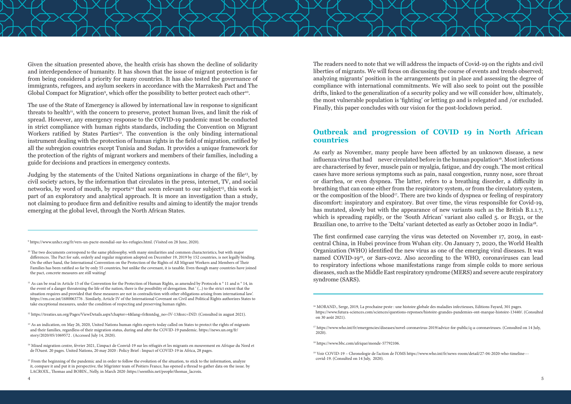Given the situation presented above, the health crisis has shown the decline of solidarity and interdependence of humanity. It has shown that the issue of migrant protection is far from being considered a priority for many countries. It has also tested the governance of immigrants, refugees, and asylum seekers in accordance with the Marrakesh Pact and The Global Compact for Migration<sup>9</sup>, which offer the possibility to better protect each other<sup>10</sup>.

The use of the State of Emergency is allowed by international law in response to significant threats to health<sup>11</sup>, with the concern to preserve, protect human lives, and limit the risk of spread. However, any emergency response to the COVID-19 pandemic must be conducted in strict compliance with human rights standards, including the Convention on Migrant Workers ratified by States Parties<sup>12</sup>. The convention is the only binding international instrument dealing with the protection of human rights in the field of migration, ratified by all the subregion countries except Tunisia and Sudan. It provides a unique framework for the protection of the rights of migrant workers and members of their families, including a guide for decisions and practices in emergency contexts.

<sup>10</sup> The two documents correspond to the same philosophy, with many similarities and common characteristics, but with major differences. The Pact for safe, orderly and regular migration adopted on December 19, 2019 by 152 countries, is not legally binding. On the other hand, the International Convention on the Protection of the Rights of All Migrant Workers and Members of Their Families has been ratified so far by only 55 countries, but unlike the covenant, it is taxable. Even though many countries have joined the pact, concrete measures are still waiting!

Judging by the statements of the United Nations organizations in charge of the file13, by civil society actors, by the information that circulates in the press, internet, TV, and social networks, by word of mouth, by reports<sup>14</sup> that seem relevant to our subject<sup>15</sup>, this work is part of an exploratory and analytical approach. It is more an investigation than a study, not claiming to produce firm and definitive results and aiming to identify the major trends emerging at the global level, through the North African States.

<sup>11</sup> As can be read in Article 15 of the Convention for the Protection of Human Rights, as amended by Protocols n° 11 and n° 14, in the event of a danger threatening the life of the nation, there is the possibility of derogation. But ' (...) to the strict extent that the situation requires and provided that these measures are not in contradiction with other obligations arising from international law'. https://rm.coe.int/1680063776 . Similarly, Article IV of the International Covenant on Civil and Political Rights authorizes States to take exceptional measures, under the condition of respecting and preserving human rights.

<sup>12</sup> https://treaties.un.org/Pages/ViewDetails.aspx?chapter=4&lang=fr&mtdsg\_no=IV-13&src=IND. (Consulted in august 2021).

9 https://www.unhcr.org/fr/vers-un-pacte-mondial-sur-les-refugies.html. (Visited on 28 June, 2020).

- <sup>13</sup> As an indication, on May 26, 2020, United Nations human rights experts today called on States to protect the rights of migrants and their families, regardless of their migration status, during and after the COVID-19 pandemic. https://news.un.org/fr/ story/2020/05/1069572 . (Accessed July 14, 2020).
- <sup>14</sup> Mixed migration centre, février 2021, L'impact de Convid-19 sur les réfugiés et les migrants en mouvement en Afrique du Nord et de l'Ouest. 20 pages. United Nations, 20 may 2020 : Policy Brief : Impact of COVID-19 in Africa, 28 pages.
- <sup>15</sup> From the beginning of the pandemic and in order to follow the evolution of the situation, to stick to the information, analyze it, compare it and put it in perspective, the Migrinter team of Poitiers France, has opened a thread to gather data on the issue. by LACROIX., Thomas and BOBIN., Nelly, in March 2020 :https://seenthis.net/people/thomas\_lacroix.

As early as November, many people have been affected by an unknown disease, a new influenza virus that had never circulated before in the human population<sup>16</sup>. Most infections are characterised by fever, muscle pain or myalgia, fatigue, and dry cough. The most critical cases have more serious symptoms such as pain, nasal congestion, runny nose, sore throat or diarrhea, or even dyspnea. The latter, refers to a breathing disorder, a difficulty in breathing that can come either from the respiratory system, or from the circulatory system, or the composition of the blood<sup>17</sup>. There are two kinds of dyspnea or feeling of respiratory discomfort: inspiratory and expiratory. But over time, the virus responsible for Covid-19, has mutated, slowly but with the appearance of new variants such as the British B.1.1.7, which is spreading rapidly, or the 'South African' variant also called 5. or B1351, or the Brazilian one, to arrive to the 'Delta' variant detected as early as October 2020 in India<sup>18</sup>.

The readers need to note that we will address the impacts of Covid-19 on the rights and civil liberties of migrants. We will focus on discussing the course of events and trends observed; analyzing migrants' position in the arrangements put in place and assessing the degree of compliance with international commitments. We will also seek to point out the possible drifts, linked to the generalization of a security policy and we will consider how, ultimately, the most vulnerable population is 'fighting' or letting go and is relegated and /or excluded. Finally, this paper concludes with our vision for the post-lockdown period.

#### **Outbreak and progression of COVID 19 in North African countries**

The first confirmed case carrying the virus was detected on November 17, 2019, in eastcentral China, in Hubei province from Wuhan city. On January 7, 2020, the World Health Organization (WHO) identified the new virus as one of the emerging viral diseases. It was named COVID-19<sup>19</sup>, or Sars-cov2. Also according to the WHO, coronaviruses can lead to respiratory infections whose manifestations range from simple colds to more serious diseases, such as the Middle East respiratory syndrome (MERS) and severe acute respiratory syndrome (SARS).

<sup>&</sup>lt;sup>16</sup> MORAND., Serge, 2019, La prochaine peste : une histoire globale des maladies infectieuses, Editions Fayard, 301 pages. https://www.futura-sciences.com/sciences/questions-reponses/histoire-grandes-pandemies-ont-marque-histoire-13440/. (Consulted on 30 août 2021).

<sup>17</sup> https://www.who.int/fr/emergencies/diseases/novel-coronavirus-2019/advice-for-public/q-a-coronaviruses. (Consulted on 14 July, 2020).

<sup>18</sup> https://www.bbc.com/afrique/monde-57792106.

<sup>19</sup> Voir COVID-19 – Chronologie de l'action de l'OMS https://www.who.int/fr/news-room/detail/27-04-2020-who-timeline-- covid-19. (Consulted on 14 July, 2020).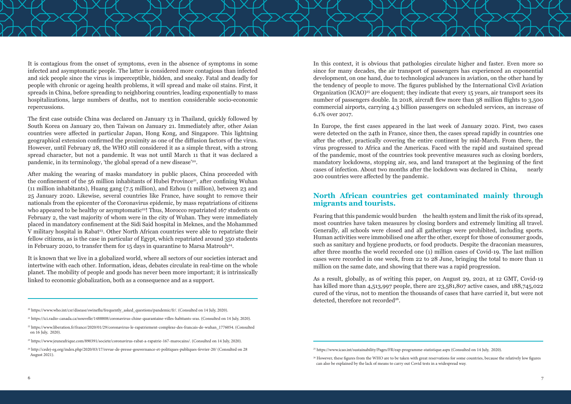The first case outside China was declared on January 13 in Thailand, quickly followed by South Korea on January 20, then Taiwan on January 21. Immediately after, other Asian countries were affected in particular Japan, Hong Kong, and Singapore. This lightning geographical extension confirmed the proximity as one of the diffusion factors of the virus. However, until February 28, the WHO still considered it as a simple threat, with a strong spread character, but not a pandemic. It was not until March 11 that it was declared a pandemic, in its terminology, 'the global spread of a new disease'<sup>20</sup>.

It is contagious from the onset of symptoms, even in the absence of symptoms in some infected and asymptomatic people. The latter is considered more contagious than infected and sick people since the virus is imperceptible, hidden, and sneaky. Fatal and deadly for people with chronic or ageing health problems, it will spread and make oil stains. First, it spreads in China, before spreading to neighboring countries, leading exponentially to mass hospitalizations, large numbers of deaths, not to mention considerable socio-economic repercussions.

After making the wearing of masks mandatory in public places, China proceeded with the confinement of the  $56$  million inhabitants of Hubei Province<sup>21</sup>, after confining Wuhan (11 million inhabitants), Huang gang (7.5 million), and Ezhou (1 million), between 23 and 25 January 2020. Likewise, several countries like France, have sought to remove their nationals from the epicenter of the Coronavirus epidemic, by mass repatriations of citizens who appeared to be healthy or asymptomatic<sup>22</sup>! Thus, Morocco repatriated 167 students on February 2, the vast majority of whom were in the city of Wuhan. They were immediately placed in mandatory confinement at the Sidi Said hospital in Meknes, and the Mohammed V military hospital in Rabat<sup>23</sup>. Other North African countries were able to repatriate their fellow citizens, as is the case in particular of Egypt, which repatriated around 350 students in February 2020, to transfer them for 15 days in quarantine to Marsa Matrouh<sup>24</sup>.

Fearing that this pandemic would burden the health system and limit the risk of its spread, most countries have taken measures by closing borders and extremely limiting all travel. Generally, all schools were closed and all gatherings were prohibited, including sports. Human activities were immobilised one after the other, except for those of consumer goods, such as sanitary and hygiene products, or food products. Despite the draconian measures, after three months the world recorded one (1) million cases of Covid-19. The last million cases were recorded in one week, from 22 to 28 June, bringing the total to more than 11 million on the same date, and showing that there was a rapid progression.

As a result, globally, as of writing this paper, on August 29, 2021, at 12 GMT, Covid-19 has killed more than 4,513,997 people, there are 23,581,807 active cases, and 188,745,022 cured of the virus, not to mention the thousands of cases that have carried it, but were not detected, therefore not recorded<sup>26</sup>.

It is known that we live in a globalized world, where all sectors of our societies interact and intertwine with each other. Information, ideas, debates circulate in real-time on the whole planet. The mobility of people and goods has never been more important; it is intrinsically linked to economic globalization, both as a consequence and as a support.

In this context, it is obvious that pathologies circulate higher and faster. Even more so since for many decades, the air transport of passengers has experienced an exponential development, on one hand, due to technological advances in aviation, on the other hand by the tendency of people to move. The figures published by the International Civil Aviation Organization  $(ICAO)^{25}$  are eloquent; they indicate that every 15 years, air transport sees its number of passengers double. In 2018, aircraft flew more than 38 million flights to 3,500 commercial airports, carrying 4.3 billion passengers on scheduled services, an increase of 6.1% over 2017.

In Europe, the first cases appeared in the last week of January 2020. First, two cases were detected on the 24th in France, since then, the cases spread rapidly in countries one after the other, practically covering the entire continent by mid-March. From there, the virus progressed to Africa and the Americas. Faced with the rapid and sustained spread of the pandemic, most of the countries took preventive measures such as closing borders, mandatory lockdowns, stopping air, sea, and land transport at the beginning of the first cases of infection. About two months after the lockdown was declared in China, nearly 200 countries were affected by the pandemic.

#### **North African countries get contaminated mainly through migrants and tourists.**

<sup>&</sup>lt;sup>22</sup> https://www.liberation.fr/france/2020/01/29/coronavirus-le-rapatriement-complexe-des-francais-de-wuhan\_1776054. (Consulted on 16 July, 2020).

<sup>&</sup>lt;sup>23</sup> https://www.jeuneafrique.com/890391/societe/coronavirus-rabat-a-rapatrie-167-marocains/. (Consulted on 14 July, 2020).

<sup>&</sup>lt;sup>24</sup> http://cedej-eg.org/index.php/2020/03/17/revue-de-presse-gouvernance-et-politiques-publiques-fevrier-20/ (Consulted on 28 August 2021).

<sup>&</sup>lt;sup>26</sup> However, these figures from the WHO are to be taken with great reservations for some countries, because the relatively low figures can also be explained by the lack of means to carry out Covid tests in a widespread way.

<sup>20</sup> https://www.who.int/csr/disease/swineflu/frequently\_asked\_questions/pandemic/fr/. (Consulted on 14 July, 2020).

<sup>21</sup> https://ici.radio-canada.ca/nouvelle/1488808/coronavirus-chine-quarantaine-villes-habitants-sras. (Consulted on 14 July, 2020).

<sup>25</sup> https://www.icao.int/sustainability/Pages/FR/eap-programme-statistique.aspx (Consulted on 14 July, 2020).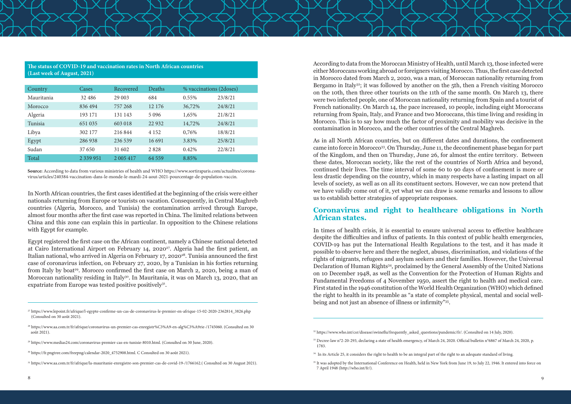#### **The status of COVID-19 and vaccination rates in North African countries (Last week of August, 2021)**

| Country    | Cases         | Recovered     | <b>Deaths</b> | % vaccinations (2doses) |         |
|------------|---------------|---------------|---------------|-------------------------|---------|
| Mauritania | 32 48 6       | 29 003        | 684           | 0.55%                   | 23/8/21 |
| Morocco    | 836494        | 757 268       | 12 176        | 36,72%                  | 24/8/21 |
| Algeria    | 193 171       | 131 143       | 5 0 9 6       | 1,65%                   | 21/8/21 |
| Tunisia    | 651 035       | 603 018       | 22 9 32       | 14,72%                  | 24/8/21 |
| Libya      | 302 177       | 216844        | 4 1 5 2       | 0,76%                   | 18/8/21 |
| Egypt      | 286938        | 236 539       | 16 691        | 3.83%                   | 25/8/21 |
| Sudan      | 37 650        | 31 602        | 2828          | 0.42%                   | 22/8/21 |
| Total      | 2 3 3 9 9 5 1 | 2 0 0 5 4 1 7 | 64 5 5 9      | 8.85%                   |         |

Egypt registered the first case on the African continent, namely a Chinese national detected at Cairo International Airport on February 14, 2020<sup>27</sup>. Algeria had the first patient, an Italian national, who arrived in Algeria on February 17, 2020<sup>28</sup>. Tunisia announced the first case of coronavirus infection, on February 27, 2020, by a Tunisian in his forties returning from Italy by boat<sup>29</sup>. Morocco confirmed the first case on March 2, 2020, being a man of Moroccan nationality residing in Italy<sup>30</sup>. In Mauritania, it was on March 13, 2020, that an expatriate from Europe was tested positive positively<sup>31</sup>.

**Source:** According to data from various ministries of health and WHO https://www.sortiraparis.com/actualites/coronavirus/articles/240384-vaccination-dans-le-monde-le-mardi-24-aout-2021-pourcentage-de-population-vaccin.

In North African countries, the first cases identified at the beginning of the crisis were either nationals returning from Europe or tourists on vacation. Consequently, in Central Maghreb countries (Algeria, Morocco, and Tunisia) the contamination arrived through Europe, almost four months after the first case was reported in China. The limited relations between China and this zone can explain this in particular. In opposition to the Chinese relations with Egypt for example.

- 29 https://www.medias24.com/coronavirus-premier-cas-en-tunisie-8010.html. (Consulted on 30 June, 2020).
- <sup>30</sup> https://fr.pngtree.com/freepng/calendar-2020\_4752908.html. C Consulted on 30 août 2021).

According to data from the Moroccan Ministry of Health, until March 13, those infected were either Moroccans working abroad or foreigners visiting Morocco. Thus, the first case detected in Morocco dated from March 2, 2020, was a man, of Moroccan nationality returning from Bergamo in Italy<sup>32</sup>; it was followed by another on the 5th, then a French visiting Morocco on the 10th, then three other tourists on the 11th of the same month. On March 13, there were two infected people, one of Moroccan nationality returning from Spain and a tourist of French nationality. On March 14, the pace increased, 10 people, including eight Moroccans returning from Spain, Italy, and France and two Moroccans, this time living and residing in Morocco. This is to say how much the factor of proximity and mobility was decisive in the contamination in Morocco, and the other countries of the Central Maghreb.

As in all North African countries, but on different dates and durations, the confinement came into force in Morocco33. On Thursday, June 11, the deconfinement phase began for part of the Kingdom, and then on Thursday, June 26, for almost the entire territory. Between these dates, Moroccan society, like the rest of the countries of North Africa and beyond, continued their lives. The time interval of some 60 to 90 days of confinement is more or less drastic depending on the country, which in many respects have a lasting impact on all levels of society, as well as on all its constituent sectors. However, we can now pretend that we have validly come out of it, yet what we can draw is some remarks and lessons to allow us to establish better strategies of appropriate responses.

#### **Coronavirus and right to healthcare obligations in North African states.**

In times of health crisis, it is essential to ensure universal access to effective healthcare despite the difficulties and influx of patients. In this context of public health emergencies, COVID-19 has put the International Health Regulations to the test, and it has made it possible to observe here and there the neglect, abuses, discrimination, and violations of the rights of migrants, refugees and asylum seekers and their families. However, the Universal Declaration of Human Rights34, proclaimed by the General Assembly of the United Nations on 10 December 1948, as well as the Convention for the Protection of Human Rights and Fundamental Freedoms of 4 November 1950, assert the right to health and medical care. First stated in the 1946 constitution of the World Health Organization (WHO) which defined the right to health in its preamble as "a state of complete physical, mental and social wellbeing and not just an absence of illness or infirmity"35.

<sup>27</sup> https://www.lepoint.fr/afrique/l-egypte-confirme-un-cas-de-coronavirus-le-premier-en-afrique-15-02-2020-2362814\_3826.php (Consulted on 30 août 2021).

<sup>28</sup> https://www.aa.com.tr/fr/afrique/coronavirus-un-premier-cas-enregistr%C3%A9-en-alg%C3%A9rie-/1745060. (Consulted on 30 août 2021).

<sup>31</sup> https://www.aa.com.tr/fr/afrique/la-mauritanie-enregistre-son-premier-cas-de-covid-19-/1766162.( Consulted on 30 August 2021).

<sup>&</sup>lt;sup>35</sup> It was adopted by the International Conference on Health, held in New York from June 19, to July 22, 1946. It entered into force on 7 April 1948 (http://who.int/fr/).

<sup>32</sup> https://www.who.int/csr/disease/swineflu/frequently\_asked\_questions/pandemic/fr/. (Consulted on 14 July, 2020).

<sup>33</sup> Decree-law n°2-20-293, declaring a state of health emergency, of March 24, 2020. Official bulletin n°6867 of March 24, 2020, p. 1783.

<sup>&</sup>lt;sup>34</sup> In its Article 25, it considers the right to health to be an integral part of the right to an adequate standard of living.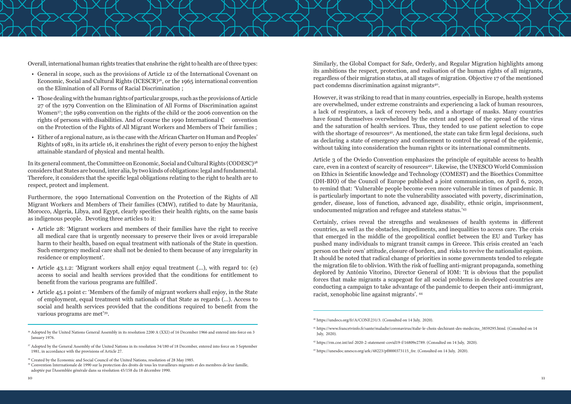

Overall, international human rights treaties that enshrine the right to health are of three types:

- General in scope, such as the provisions of Article 12 of the International Covenant on Economic, Social and Cultural Rights (ICESCR)36, or the 1965 international convention on the Elimination of all Forms of Racial Discrimination ;
- Those dealing with the human rights of particular groups, such as the provisions of Article 27 of the 1979 Convention on the Elimination of All Forms of Discrimination against Women37; the 1989 convention on the rights of the child or the 2006 convention on the rights of persons with disabilities. And of course the 1990 International C onvention on the Protection of the Fights of All Migrant Workers and Members of Their families ;
- Either of a regional nature, as is the case with the African Charter on Human and Peoples' Rights of 1981, in its article 16, it enshrines the right of every person to enjoy the highest attainable standard of physical and mental health.

In its general comment, the Committee on Economic, Social and Cultural Rights (CODESC)38 considers that States are bound, inter alia, by two kinds of obligations: legal and fundamental. Therefore, it considers that the specific legal obligations relating to the right to health are to respect, protect and implement.

Furthermore, the 1990 International Convention on the Protection of the Rights of All Migrant Workers and Members of Their families (CMW), ratified to date by Mauritania, Morocco, Algeria, Libya, and Egypt, clearly specifies their health rights, on the same basis as indigenous people. Devoting three articles to it:

Similarly, the Global Compact for Safe, Orderly, and Regular Migration highlights among its ambitions the respect, protection, and realisation of the human rights of all migrants, regardless of their migration status, at all stages of migration. Objective 17 of the mentioned pact condemns discrimination against migrants<sup>40</sup>.

- Article 28: 'Migrant workers and members of their families have the right to receive all medical care that is urgently necessary to preserve their lives or avoid irreparable harm to their health, based on equal treatment with nationals of the State in question. Such emergency medical care shall not be denied to them because of any irregularity in residence or employment'.
- Article 43.1.2: 'Migrant workers shall enjoy equal treatment (...), with regard to: (e) access to social and health services provided that the conditions for entitlement to benefit from the various programs are fulfilled'.
- Article 45.1 point c: 'Members of the family of migrant workers shall enjoy, in the State of employment, equal treatment with nationals of that State as regards (...). Access to social and health services provided that the conditions required to benefit from the various programs are met'39.

However, it was striking to read that in many countries, especially in Europe, health systems are overwhelmed, under extreme constraints and experiencing a lack of human resources, a lack of respirators, a lack of recovery beds, and a shortage of masks. Many countries have found themselves overwhelmed by the extent and speed of the spread of the virus and the saturation of health services. Thus, they tended to use patient selection to cope with the shortage of resources<sup>41</sup>. As mentioned, the state can take firm legal decisions, such as declaring a state of emergency and confinement to control the spread of the epidemic, without taking into consideration the human rights or its international commitments.

Article 3 of the Oviedo Convention emphasizes the principle of equitable access to health care, even in a context of scarcity of resources<sup>42</sup>. Likewise, the UNESCO World Commission on Ethics in Scientific knowledge and Technology (COMEST) and the Bioethics Committee (DH-BIO) of the Council of Europe published a joint communication, on April 6, 2020, to remind that: 'Vulnerable people become even more vulnerable in times of pandemic. It is particularly important to note the vulnerability associated with poverty, discrimination, gender, disease, loss of function, advanced age, disability, ethnic origin, imprisonment, undocumented migration and refugee and stateless status.'43

Certainly, crises reveal the strengths and weaknesses of health systems in different countries, as well as the obstacles, impediments, and inequalities to access care. The crisis that emerged in the middle of the geopolitical conflict between the EU and Turkey has pushed many individuals to migrant transit camps in Greece. This crisis created an 'each person on their own' attitude, closure of borders, and risks to revive the nationalist egoism. It should be noted that radical change of priorities in some governments tended to relegate the migration file to oblivion. With the risk of fuelling anti-migrant propaganda, something deplored by António Vitorino, Director General of IOM: 'It is obvious that the populist forces that make migrants a scapegoat for all social problems in developed countries are conducting a campaign to take advantage of the pandemic to deepen their anti-immigrant, racist, xenophobic line against migrants'. 44

<sup>&</sup>lt;sup>36</sup> Adopted by the United Nations General Assembly in its resolution 2200 A (XXI) of 16 December 1966 and entered into force on 3 January 1976.

<sup>&</sup>lt;sup>37</sup> Adopted by the General Assembly of the United Nations in its resolution 34/180 of 18 December, entered into force on 3 September 1981, in accordance with the provisions of Article 27.

<sup>&</sup>lt;sup>38</sup> Created by the Economic and Social Council of the United Nations, resolution of 28 May 1985.

<sup>39</sup> Convention Internationale de 1990 sur la protection des droits de tous les travailleurs migrants et des membres de leur famille, adoptée par l'Assemblée générale dans sa résolution 45/158 du 18 décembre 1990.

<sup>40</sup> https://undocs.org/fr/A/CONF.231/3. (Consulted on 14 July, 2020).

<sup>41</sup> https://www.francetvinfo.fr/sante/maladie/coronavirus/italie-le-choix-dechirant-des-medecins\_3859295.html. (Consulted on 14 July, 2020).

<sup>42</sup> https://rm.coe.int/inf-2020-2-statement-covid19-f/16809e2789. (Consulted on 14 July, 2020).

<sup>43</sup> https://unesdoc.unesco.org/ark:/48223/pf0000373115\_fre. (Consulted on 14 July, 2020).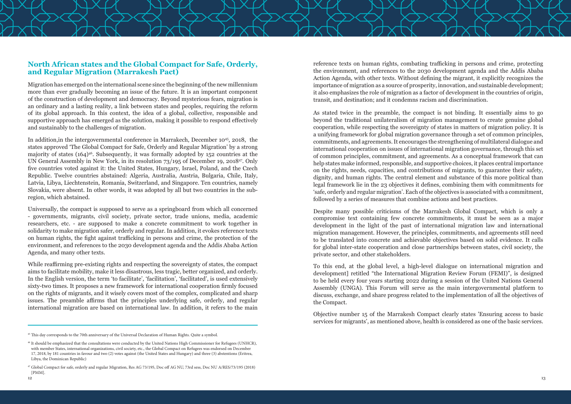#### **North African states and the Global Compact for Safe, Orderly, and Regular Migration (Marrakesh Pact)**

Migration has emerged on the international scene since the beginning of the new millennium more than ever gradually becoming an issue of the future. It is an important component of the construction of development and democracy. Beyond mysterious fears, migration is an ordinary and a lasting reality, a link between states and peoples, requiring the reform of its global approach. In this context, the idea of a global, collective, responsible and supportive approach has emerged as the solution, making it possible to respond effectively and sustainably to the challenges of migration.

In addition,in the intergovernmental conference in Marrakech, December 1045, 2018, the states approved 'The Global Compact for Safe, Orderly and Regular Migration' by a strong majority of states (164)<sup>46</sup>. Subsequently, it was formally adopted by 152 countries at the UN General Assembly in New York, in its resolution 73/195 of December 19, 201847. Only five countries voted against it: the United States, Hungary, Israel, Poland, and the Czech Republic. Twelve countries abstained: Algeria, Australia, Austria, Bulgaria, Chile, Italy, Latvia, Libya, Liechtenstein, Romania, Switzerland, and Singapore. Ten countries, namely Slovakia, were absent. In other words, it was adopted by all but two countries in the subregion, which abstained.

Universally, the compact is supposed to serve as a springboard from which all concerned - governments, migrants, civil society, private sector, trade unions, media, academic researchers, etc. - are supposed to make a concrete commitment to work together in solidarity to make migration safer, orderly and regular. In addition, it evokes reference texts on human rights, the fight against trafficking in persons and crime, the protection of the environment, and references to the 2030 development agenda and the Addis Ababa Action Agenda, and many other texts.

While reaffirming pre-existing rights and respecting the sovereignty of states, the compact aims to facilitate mobility, make it less disastrous, less tragic, better organized, and orderly. In the English version, the term 'to facilitate', 'facilitation', 'facilitated', is used extensively sixty-two times. It proposes a new framework for international cooperation firmly focused on the rights of migrants, and it wisely covers most of the complex, complicated and sharp issues. The preamble affirms that the principles underlying safe, orderly, and regular international migration are based on international law. In addition, it refers to the main



reference texts on human rights, combating trafficking in persons and crime, protecting the environment, and references to the 2030 development agenda and the Addis Ababa Action Agenda, with other texts. Without defining the migrant, it explicitly recognizes the importance of migration as a source of prosperity, innovation, and sustainable development; it also emphasizes the role of migration as a factor of development in the countries of origin, transit, and destination; and it condemns racism and discrimination.

As stated twice in the preamble, the compact is not binding. It essentially aims to go beyond the traditional unilateralism of migration management to create genuine global cooperation, while respecting the sovereignty of states in matters of migration policy. It is a unifying framework for global migration governance through a set of common principles, commitments, and agreements. It encourages the strengthening of multilateral dialogue and international cooperation on issues of international migration governance, through this set of common principles, commitment, and agreements. As a conceptual framework that can help states make informed, responsible, and supportive choices, it places central importance on the rights, needs, capacities, and contributions of migrants, to guarantee their safety, dignity, and human rights. The central element and substance of this more political than legal framework lie in the 23 objectives it defines, combining them with commitments for 'safe, orderly and regular migration'. Each of the objectives is associated with a commitment, followed by a series of measures that combine actions and best practices.

Despite many possible criticisms of the Marrakesh Global Compact, which is only a compromise text containing few concrete commitments, it must be seen as a major development in the light of the past of international migration law and international migration management. However, the principles, commitments, and agreements still need to be translated into concrete and achievable objectives based on solid evidence. It calls for global inter-state cooperation and close partnerships between states, civil society, the private sector, and other stakeholders.

To this end, at the global level, a high-level dialogue on international migration and development] retitled "the International Migration Review Forum (FEMI)", is designed to be held every four years starting 2022 during a session of the United Nations General Assembly (UNGA). This Forum will serve as the main intergovernmental platform to discuss, exchange, and share progress related to the implementation of all the objectives of the Compact.

Objective number 15 of the Marrakesh Compact clearly states 'Ensuring access to basic services for migrants', as mentioned above, health is considered as one of the basic services.

<sup>&</sup>lt;sup>45</sup> This day corresponds to the 70th anniversary of the Universal Declaration of Human Rights. Quite a symbol

<sup>46</sup> It should be emphasized that the consultations were conducted by the United Nations High Commissioner for Refugees (UNHCR), with member States, international organizations, civil society, etc., the Global Compact on Refugees was endorsed on December 17, 2018, by 181 countries in favour and two (2) votes against (the United States and Hungary) and three (3) abstentions (Eritrea, Libya, the Dominican Republic)

<sup>47</sup> Global Compact for safe, orderly and regular Migration, Res AG 73/195, Doc off AG NU, 73rd sess, Doc NU A/RES/73/195 (2018) [PMM].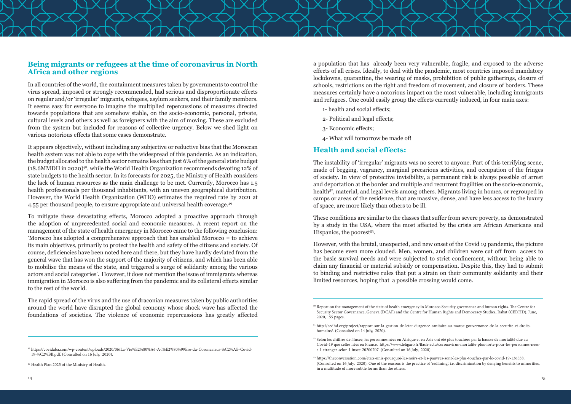

#### **Being migrants or refugees at the time of coronavirus in North Africa and other regions**

In all countries of the world, the containment measures taken by governments to control the virus spread, imposed or strongly recommended, had serious and disproportionate effects on regular and/or 'irregular' migrants, refugees, asylum seekers, and their family members. It seems easy for everyone to imagine the multiplied repercussions of measures directed towards populations that are somehow stable, on the socio-economic, personal, private, cultural levels and others as well as foreigners with the aim of moving. These are excluded from the system but included for reasons of collective urgency. Below we shed light on various notorious effects that some cases demonstrate.

It appears objectively, without including any subjective or reductive bias that the Moroccan health system was not able to cope with the widespread of this pandemic. As an indication, the budget allocated to the health sector remains less than just 6% of the general state budget (18.6MMDH in 2020)48, while the World Health Organization recommends devoting 12% of state budgets to the health sector. In its forecasts for 2025, the Ministry of Health considers the lack of human resources as the main challenge to be met. Currently, Morocco has 1.5 health professionals per thousand inhabitants, with an uneven geographical distribution. However, the World Health Organization (WHO) estimates the required rate by 2021 at 4.55 per thousand people, to ensure appropriate and universal health coverage.49

To mitigate these devastating effects, Morocco adopted a proactive approach through the adoption of unprecedented social and economic measures. A recent report on the management of the state of health emergency in Morocco came to the following conclusion: 'Morocco has adopted a comprehensive approach that has enabled Morocco = to achieve its main objectives, primarily to protect the health and safety of the citizens and society. Of course, deficiencies have been noted here and there, but they have hardly deviated from the general wave that has won the support of the majority of citizens, and which has been able to mobilise the means of the state, and triggered a surge of solidarity among the various actors and social categories'. However, it does not mention the issue of immigrants whereas immigration in Morocco is also suffering from the pandemic and its collateral effects similar to the rest of the world.

These conditions are similar to the classes that suffer from severe poverty, as demonstrated by a study in the USA, where the most affected by the crisis are African Americans and Hispanics, the poorest<sup>53</sup>.

The rapid spread of the virus and the use of draconian measures taken by public authorities around the world have disrupted the global economy whose shock wave has affected the foundations of societies. The violence of economic repercussions has greatly affected

48 https://covidaba.com/wp-content/uploads/2020/06/La-Vie%E2%80%A6-A-l%E2%80%99Ere-du-Coronavirus-%C2%AB-Covid-19-%C2%BB.pdf. (Consulted on 16 July, 2020).

a population that has already been very vulnerable, fragile, and exposed to the adverse effects of all crises. Ideally, to deal with the pandemic, most countries imposed mandatory lockdowns, quarantine, the wearing of masks, prohibition of public gatherings, closure of schools, restrictions on the right and freedom of movement, and closure of borders. These measures certainly have a notorious impact on the most vulnerable, including immigrants and refugees. One could easily group the effects currently induced, in four main axes:

- 1- health and social effects;
- 2- Political and legal effects;
- 3- Economic effects;
- 4- What will tomorrow be made of!

#### **Health and social effects:**

The instability of 'irregular' migrants was no secret to anyone. Part of this terrifying scene, made of begging, vagrancy, marginal precarious activities, and occupation of the fringes of society. In view of protective invisibility, a permanent risk is always possible of arrest and deportation at the border and multiple and recurrent fragilities on the socio-economic, health<sup>52</sup>, material, and legal levels among others. Migrants living in homes, or regrouped in camps or areas of the residence, that are massive, dense, and have less access to the luxury of space, are more likely than others to be ill.

However, with the brutal, unexpected, and new onset of the Covid 19 pandemic, the picture has become even more clouded. Men, women, and children were cut off from access to the basic survival needs and were subjected to strict confinement, without being able to claim any financial or material subsidy or compensation. Despite this, they had to submit to binding and restrictive rules that put a strain on their community solidarity and their limited resources, hoping that a possible crossing would come.

<sup>&</sup>lt;sup>50</sup> Report on the management of the state of health emergency in Morocco Security governance and human rights. The Centre for Security Sector Governance, Geneva (DCAF) and the Centre for Human Rights and Democracy Studies, Rabat (CEDHD). June, 2020, 155 pages.

<sup>51</sup> http://cedhd.org/project/rapport-sur-la-gestion-de-letat-durgence-sanitaire-au-maroc-gouvernance-de-la-securite-et-droitshumains/. (Consulted on 14 July, 2020).

<sup>52</sup> Selon les chiffres de l'Insee, les personnes nées en Afrique et en Asie ont été plus touchées par la hausse de mortalité due au Covid-19 que celles nées en France. https://www.lefigaro.fr/flash-actu/coronavirus-mortalite-plus-forte-pour-les-personnes-neesa-l-etranger-selon-l-insee-20200707. (Consulted on 16 July, 2020).

<sup>49</sup> Health Plan 2025 of the Ministry of Health.

<sup>53</sup> https://theconversation.com/etats-unis-pourquoi-les-noirs-et-les-pauvres-sont-les-plus-touches-par-le-covid-19-136538. (Consulted on 16 July, 2020). One of the reasons is the practice of 'redlining', i.e. discrimination by denying benefits to minorities, in a multitude of more subtle forms than the others.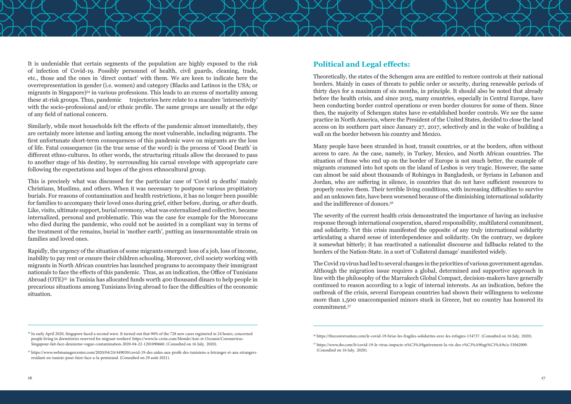It is undeniable that certain segments of the population are highly exposed to the risk of infection of Covid-19. Possibly personnel of health, civil guards, cleaning, trade, etc., those and the ones in 'direct contact' with them. We are keen to indicate here the overrepresentation in gender (i.e. women) and category (Blacks and Latinos in the USA; or migrants in Singapore)54 in various professions. This leads to an excess of mortality among these at-risk groups. Thus, pandemic trajectories here relate to a macabre 'intersectivity' with the socio-professional and/or ethnic profile. The same groups are usually at the edge of any field of national concern.

Similarly, while most households felt the effects of the pandemic almost immediately, they are certainly more intense and lasting among the most vulnerable, including migrants. The first unfortunate short-term consequences of this pandemic wave on migrants are the loss of life. Fatal consequence (in the true sense of the word) is the process of 'Good Death' in different ethno-cultures. In other words, the structuring rituals allow the deceased to pass to another stage of his destiny, by surrounding his carnal envelope with appropriate care following the expectations and hopes of the given ethnocultural group.

This is precisely what was discussed for the particular case of 'Covid 19 deaths' mainly Christians, Muslims, and others. When it was necessary to postpone various propitiatory burials. For reasons of contamination and health restrictions, it has no longer been possible for families to accompany their loved ones during grief, either before, during, or after death. Like, visits, ultimate support, burial ceremony, what was externalized and collective, became internalized, personal and problematic. This was the case for example for the Moroccans who died during the pandemic, who could not be assisted in a compliant way in terms of the treatment of the remains, burial in 'mother earth', putting an insurmountable strain on families and loved ones.

Rapidly, the urgency of the situation of some migrants emerged: loss of a job, loss of income, inability to pay rent or ensure their children schooling. Moreover, civil society working with migrants in North African countries has launched programs to accompany their immigrant nationals to face the effects of this pandemic. Thus, as an indication, the Office of Tunisians Abroad (OTE)<sup>55</sup> in Tunisia has allocated funds worth 400 thousand dinars to help people in precarious situations among Tunisians living abroad to face the difficulties of the economic situation.

#### **Political and Legal effects:**

Theoretically, the states of the Schengen area are entitled to restore controls at their national borders. Mainly in cases of threats to public order or security, during renewable periods of thirty days for a maximum of six months, in principle. It should also be noted that already before the health crisis, and since 2015, many countries, especially in Central Europe, have been conducting border control operations or even border closures for some of them. Since then, the majority of Schengen states have re-established border controls. We see the same practice in North America, where the President of the United States, decided to close the land access on its southern part since January 27, 2017, selectively and in the wake of building a wall on the border between his country and Mexico.

Many people have been stranded in host, transit countries, or at the borders, often without access to care. As the case, namely, in Turkey, Mexico, and North African countries. The situation of those who end up on the border of Europe is not much better, the example of migrants crammed into hot spots on the island of Lesbos is very tragic. However, the same can almost be said about thousands of Rohingya in Bangladesh, or Syrians in Lebanon and Jordan, who are suffering in silence, in countries that do not have sufficient resources to properly receive them. Their terrible living conditions, with increasing difficulties to survive and an unknown fate, have been worsened because of the diminishing international solidarity and the indifference of donors.<sup>56</sup>

The severity of the current health crisis demonstrated the importance of having an inclusive response through international cooperation, shared responsibility, multilateral commitment, and solidarity. Yet this crisis manifested the opposite of any truly international solidarity articulating a shared sense of interdependence and solidarity. On the contrary, we deplore it somewhat bitterly; it has reactivated a nationalist discourse and fallbacks related to the borders of the Nation-State. in a sort of 'Collateral damage' manifested widely.

The Covid 19 virus had led to several changes in the priorities of various government agendas. Although the migration issue requires a global, determined and supportive approach in line with the philosophy of the Marrakech Global Compact, decision-makers have generally continued to reason according to a logic of internal interests. As an indication, before the outbreak of the crisis, several European countries had shown their willingness to welcome more than 1,500 unaccompanied minors stuck in Greece, but no country has honored its commitment.57

<sup>54</sup> In early April 2020, Singapore faced a second wave. It turned out that 90% of the 728 new cases registered in 24 hours, concerned people living in dormitories reserved for migrant workers! https://www.la-croix.com/Monde/Asie-et-Oceanie/Coronavirus-Singapour-fait-face-deuxieme-vague-contamination-2020-04-22-1201090660. (Consulted on 16 July, 2020).

<sup>55</sup> https://www.webmanagercenter.com/2020/04/24/449030/covid-19-des-aides-aux-profit-des-tunisiens-a-letranger-et-aux-etrangersresidant-en-tunisie-pour-faire-face-a-la-pemieand. (Consulted on 29 août 2021).

<sup>56</sup> https://theconversation.com/le-covid-19-brise-les-fragiles-solidarites-avec-les-refugies-134737. (Consulted on 16 July, 2020).

<sup>57</sup> https://www.dw.com/fr/covid-19-le-virus-impacte-n%C3%A9gativement-la-vie-des-r%C3%A9fugi%C3%A9s/a-53042009. (Consulted on 16 July, 2020).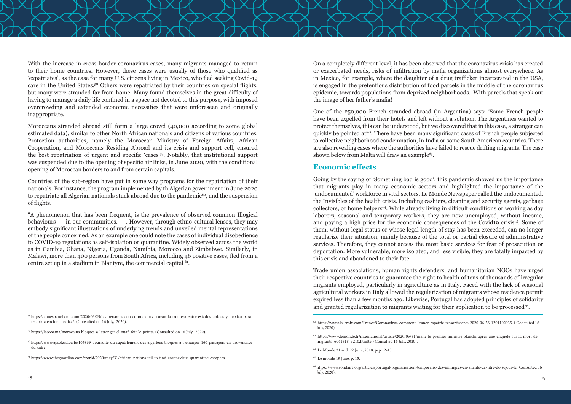With the increase in cross-border coronavirus cases, many migrants managed to return to their home countries. However, these cases were usually of those who qualified as 'expatriates', as the case for many U.S. citizens living in Mexico, who fled seeking Covid-19 care in the United States.58 Others were repatriated by their countries on special flights, but many were stranded far from home. Many found themselves in the great difficulty of having to manage a daily life confined in a space not devoted to this purpose, with imposed overcrowding and extended economic necessities that were unforeseen and originally inappropriate.

"A phenomenon that has been frequent, is the prevalence of observed common Illogical behaviours in our communities. . However, through ethno-cultural lenses, they may embody significant illustrations of underlying trends and unveiled mental representations of the people concerned. As an example one could note the cases of individual disobedience to COVID-19 regulations as self-isolation or quarantine. Widely observed across the world as in Gambia, Ghana, Nigeria, Uganda, Namibia, Morocco and Zimbabwe. Similarly, in Malawi, more than 400 persons from South Africa, including 46 positive cases, fled from a centre set up in a stadium in Blantyre, the commercial capital <sup>61</sup>.

Moroccans stranded abroad still form a large crowd (40,000 according to some global estimated data), similar to other North African nationals and citizens of various countries. Protection authorities, namely the Moroccan Ministry of Foreign Affairs, African Cooperation, and Moroccans Residing Abroad and its crisis and support cell, ensured the best repatriation of urgent and specific 'cases'59. Notably, that institutional support was suspended due to the opening of specific air links, in June 2020, with the conditional opening of Moroccan borders to and from certain capitals.

Countries of the sub-region have put in some way programs for the repatriation of their nationals. For instance, the program implemented by th Algerian government in June 2020 to repatriate all Algerian nationals stuck abroad due to the pandemic<sup>60</sup>, and the suspension of flights.

One of the 250,000 French stranded abroad (in Argentina) says: 'Some French people have been expelled from their hotels and left without a solution. The Argentines wanted to protect themselves, this can be understood, but we discovered that in this case, a stranger can quickly be pointed at<sup>'62</sup>. There have been many significant cases of French people subjected to collective neighborhood condemnation, in India or some South American countries. There are also revealing cases where the authorities have failed to rescue drifting migrants. The case shown below from Malta will draw an example<sup>63</sup>.

58 https://cnnespanol.cnn.com/2020/06/29/las-personas-con-coronavirus-cruzan-la-frontera-entre-estados-unidos-y-mexico-pararecibir-atencion-medica/. (Consulted on 16 July, 2020).

59 https://leseco.ma/marocains-bloques-a-letranger-el-ouafi-fait-le-point/. (Consulted on 16 July, 2020).

Trade union associations, human rights defenders, and humanitarian NGOs have urged their respective countries to guarantee the right to health of tens of thousands of irregular migrants employed, particularly in agriculture as in Italy. Faced with the lack of seasonal agricultural workers in Italy allowed the regularization of migrants whose residence permit expired less than a few months ago. Likewise, Portugal has adopted principles of solidarity and granted regularization to migrants waiting for their application to be processed<sup>66</sup>.

On a completely different level, it has been observed that the coronavirus crisis has created or exacerbated needs, risks of infiltration by mafia organizations almost everywhere. As in Mexico, for example, where the daughter of a drug trafficker incarcerated in the USA, is engaged in the pretentious distribution of food parcels in the middle of the coronavirus epidemic, towards populations from deprived neighborhoods. With parcels that speak out the image of her father's mafia!

#### **Economic effects**

Going by the saying of 'Something bad is good', this pandemic showed us the importance that migrants play in many economic sectors and highlighted the importance of the 'undocumented' workforce in vital sectors. Le Monde Newspaper called the undocumented, the Invisibles of the health crisis. Including cashiers, cleaning and security agents, garbage collectors, or home helpers<sup>64</sup>. While already living in difficult conditions or working as day laborers, seasonal and temporary workers, they are now unemployed, without income, and paying a high price for the economic consequences of the Covid19 crisis<sup>65</sup>. Some of them, without legal status or whose legal length of stay has been exceeded, can no longer regularize their situation, mainly because of the total or partial closure of administrative services. Therefore, they cannot access the most basic services for fear of prosecution or deportation. More vulnerable, more isolated, and less visible, they are fatally impacted by this crisis and abandoned to their fate.

<sup>60</sup> https://www.aps.dz/algerie/105869-poursuite-du-rapatriement-des-algeriens-bloques-a-l-etranger-160-passagers-en-provenancedu-caire.

<sup>61</sup> https://www.theguardian.com/world/2020/may/31/african-nations-fail-to-find-coronavirus-quarantine-escapees.

<sup>62</sup> https://www.la-croix.com/France/Coronavirus-comment-France-rapatrie-ressortissants-2020-06-26-1201102035. ( Consulted 16 July, 2020).

<sup>63</sup> https://www.lemonde.fr/international/article/2020/05/31/malte-le-premier-ministre-blanchi-apres-une-enquete-sur-la-mort-demigrants\_6041318\_3210.htmlte. (Consulted 16 July, 2020).

<sup>64</sup> Le Monde 21 and 22 June, 2010, p-p 12-13.

<sup>65</sup> Le monde 19 June, p. 15.

<sup>66</sup> https://www.solidaire.org/articles/portugal-regularisation-temporaire-des-immigres-en-attente-de-titre-de-sejour-le.(Consulted 16 July, 2020).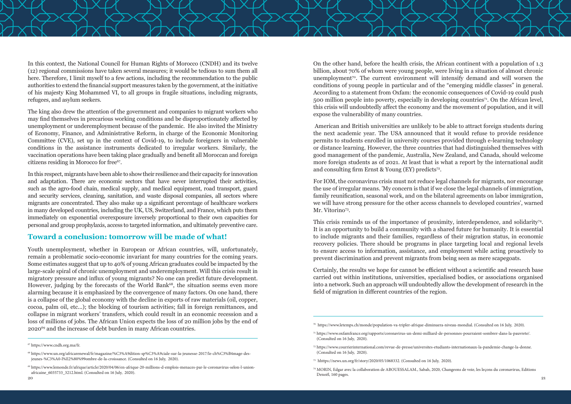The king also drew the attention of the government and companies to migrant workers who may find themselves in precarious working conditions and be disproportionately affected by unemployment or underemployment because of the pandemic. He also invited the Ministry of Economy, Finance, and Administrative Reform, in charge of the Economic Monitoring Committee (CVE), set up in the context of Covid-19, to include foreigners in vulnerable conditions in the assistance instruments dedicated to irregular workers. Similarly, the vaccination operations have been taking place gradually and benefit all Moroccan and foreign citizens residing in Morocco for free<sup>67</sup>.

In this context, the National Council for Human Rights of Morocco (CNDH) and its twelve (12) regional commissions have taken several measures; it would be tedious to sum them all here. Therefore, I limit myself to a few actions, including the recommendation to the public authorities to extend the financial support measures taken by the government, at the initiative of his majesty King Mohammed VI, to all groups in fragile situations, including migrants, refugees, and asylum seekers.

In this respect, migrants have been able to show their resilience and their capacity for innovation and adaptation. There are economic sectors that have never interrupted their activities, such as the agro-food chain, medical supply, and medical equipment, road transport, guard and security services, cleaning, sanitation, and waste disposal companies, all sectors where migrants are concentrated. They also make up a significant percentage of healthcare workers in many developed countries, including the UK, US, Switzerland, and France, which puts them immediately on exponential overexposure inversely proportional to their own capacities for personal and group prophylaxis, access to targeted information, and ultimately preventive care.

#### **Toward a conclusion: tomorrow will be made of what!**

 American and British universities are unlikely to be able to attract foreign students during the next academic year. The USA announced that it would refuse to provide residence permits to students enrolled in university courses provided through e-learning technology or distance learning. However, the three countries that had distinguished themselves with good management of the pandemic, Australia, New Zealand, and Canada, should welcome more foreign students as of 2021. At least that is what a report by the international audit and consulting firm Ernst & Young (EY) predicts<sup>72</sup>.

For IOM, the coronavirus crisis must not reduce legal channels for migrants, nor encourage the use of irregular means. 'My concern is that if we close the legal channels of immigration, family reunification, seasonal work, and on the bilateral agreements on labor immigration, we will have strong pressure for the other access channels to developed countries', warned Mr. Vitorino<sup>73</sup>.

Youth unemployment, whether in European or African countries, will, unfortunately, remain a problematic socio-economic invariant for many countries for the coming years. Some estimates suggest that up to 40% of young African graduates could be impacted by the large-scale spiral of chronic unemployment and underemployment. Will this crisis result in migratory pressure and influx of young migrants? No one can predict future development. However, judging by the forecasts of the World Bank<sup>68</sup>, the situation seems even more alarming because it is emphasized by the convergence of many factors. On one hand, there is a collapse of the global economy with the decline in exports of raw materials (oil, copper, cocoa, palm oil, etc...); the blocking of tourism activities; fall in foreign remittances, and collapse in migrant workers' transfers, which could result in an economic recession and a loss of millions of jobs. The African Union expects the loss of 20 million jobs by the end of 202069 and the increase of debt burden in many African countries.

This crisis reminds us of the importance of proximity, interdependence, and solidarity<sup>74</sup>. It is an opportunity to build a community with a shared future for humanity. It is essential to include migrants and their families, regardless of their migration status, in economic recovery policies. There should be programs in place targeting local and regional levels to ensure access to information, assistance, and employment while acting proactively to prevent discrimination and prevent migrants from being seen as mere scapegoats.



On the other hand, before the health crisis, the African continent with a population of 1.3 billion, about 70% of whom were young people, were living in a situation of almost chronic unemployment<sup>70</sup>. The current environment will intensify demand and will worsen the conditions of young people in particular and of the "emerging middle classes" in general. According to a statement from Oxfam: the economic consequences of Covid-19 could push 500 million people into poverty, especially in developing countries71. On the African level, this crisis will undoubtedly affect the economy and the movement of population, and it will expose the vulnerability of many countries.

Certainly, the results we hope for cannot be efficient without a scientific and research base carried out within institutions, universities, specialised bodies, or associations organised into a network. Such an approach will undoubtedly allow the development of research in the field of migration in different countries of the region.

<sup>67</sup> https://www.cndh.org.ma/fr.

<sup>68</sup> https://www.un.org/africarenewal/fr/magazine/%C3%A9dition-sp%C3%A9ciale-sur-la-jeunesse-2017/le-ch%C3%B4mage-desjeunes-%C3%A0-l%E2%80%99ombre-de-la-croissance. (Consulted on 16 July, 2020).

 $20$ 74 MORIN, Edgar avec la collaboration de ABOUESSALAM., Sabah, 2020, Changeons de voie, les leçons du coronavirus, Editions Denoël, 160 pages.

<sup>69</sup> https://www.lemonde.fr/afrique/article/2020/04/06/en-afrique-20-millions-d-emplois-menaces-par-le-coronavirus-selon-l-unionafricaine\_6035733\_3212.html. (Consulted on 16 July, 2020).

<sup>70</sup> https://www.letemps.ch/monde/population-va-tripler-afrique-diminuera-niveau-mondial. (Consulted on 16 July, 2020).

<sup>71</sup> https://www.oxfamfrance.org/rapports/coronavirus-un-demi-milliard-de-personnes-pourraient-sombrer-dans-la-pauvrete/. (Consulted on 16 July, 2020).

<sup>72</sup> https://www.courrierinternational.com/revue-de-presse/universites-etudiants-internationaux-la-pandemie-change-la-donne. (Consulted on 16 July, 2020).

<sup>73</sup> hhttps://news.un.org/fr/story/2020/05/1068332. (Consulted on 16 July, 2020).